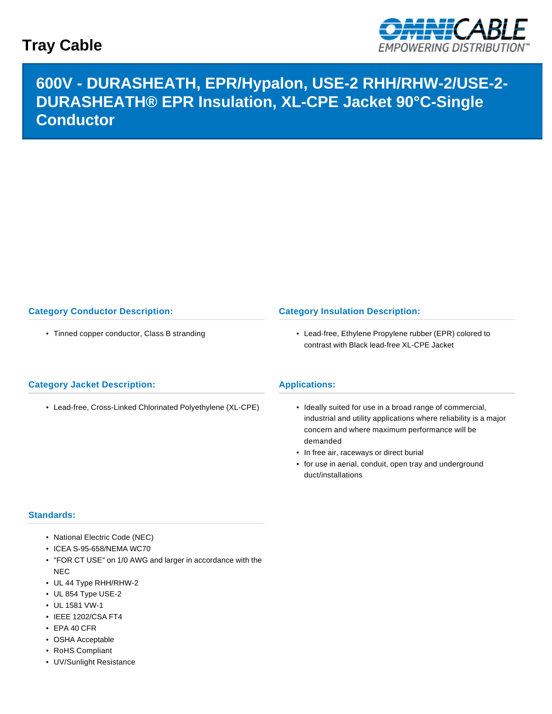## **Tray Cable**



# **600V - DURASHEATH, EPR/Hypalon, USE-2 RHH/RHW-2/USE-2- DURASHEATH® EPR Insulation, XL-CPE Jacket 90°C-Single Conductor**

## **Category Conductor Description:**

• Tinned copper conductor, Class B stranding

### **Category Insulation Description:**

• Lead-free, Ethylene Propylene rubber (EPR) colored to contrast with Black lead-free XL-CPE Jacket

### **Category Jacket Description:**

• Lead-free, Cross-Linked Chlorinated Polyethylene (XL-CPE)

#### **Applications:**

- Ideally suited for use in a broad range of commercial, industrial and utility applications where reliability is a major concern and where maximum performance will be demanded
- In free air, raceways or direct burial
- for use in aerial, conduit, open tray and underground duct/installations

#### **Standards:**

- National Electric Code (NEC)
- ICEA S-95-658/NEMA WC70
- "FOR CT USE" on 1/0 AWG and larger in accordance with the NEC
- UL 44 Type RHH/RHW-2
- UL 854 Type USE-2
- UL 1581 VW-1
- IEEE 1202/CSA FT4
- EPA 40 CFR
- OSHA Acceptable
- RoHS Compliant
- UV/Sunlight Resistance